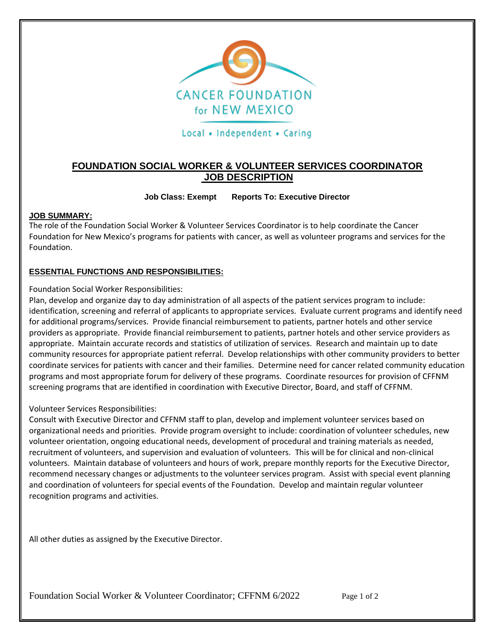

Local • Independent • Caring

# **FOUNDATION SOCIAL WORKER & VOLUNTEER SERVICES COORDINATOR JOB DESCRIPTION**

## **Job Class: Exempt Reports To: Executive Director**

### **JOB SUMMARY:**

The role of the Foundation Social Worker & Volunteer Services Coordinator is to help coordinate the Cancer Foundation for New Mexico's programs for patients with cancer, as well as volunteer programs and services for the Foundation.

## **ESSENTIAL FUNCTIONS AND RESPONSIBILITIES:**

Foundation Social Worker Responsibilities:

Plan, develop and organize day to day administration of all aspects of the patient services program to include: identification, screening and referral of applicants to appropriate services. Evaluate current programs and identify need for additional programs/services. Provide financial reimbursement to patients, partner hotels and other service providers as appropriate. Provide financial reimbursement to patients, partner hotels and other service providers as appropriate. Maintain accurate records and statistics of utilization of services. Research and maintain up to date community resources for appropriate patient referral. Develop relationships with other community providers to better coordinate services for patients with cancer and their families. Determine need for cancer related community education programs and most appropriate forum for delivery of these programs. Coordinate resources for provision of CFFNM screening programs that are identified in coordination with Executive Director, Board, and staff of CFFNM.

### Volunteer Services Responsibilities:

Consult with Executive Director and CFFNM staff to plan, develop and implement volunteer services based on organizational needs and priorities. Provide program oversight to include: coordination of volunteer schedules, new volunteer orientation, ongoing educational needs, development of procedural and training materials as needed, recruitment of volunteers, and supervision and evaluation of volunteers. This will be for clinical and non-clinical volunteers. Maintain database of volunteers and hours of work, prepare monthly reports for the Executive Director, recommend necessary changes or adjustments to the volunteer services program. Assist with special event planning and coordination of volunteers for special events of the Foundation. Develop and maintain regular volunteer recognition programs and activities.

All other duties as assigned by the Executive Director.

Foundation Social Worker & Volunteer Coordinator; CFFNM 6/2022 Page 1 of 2